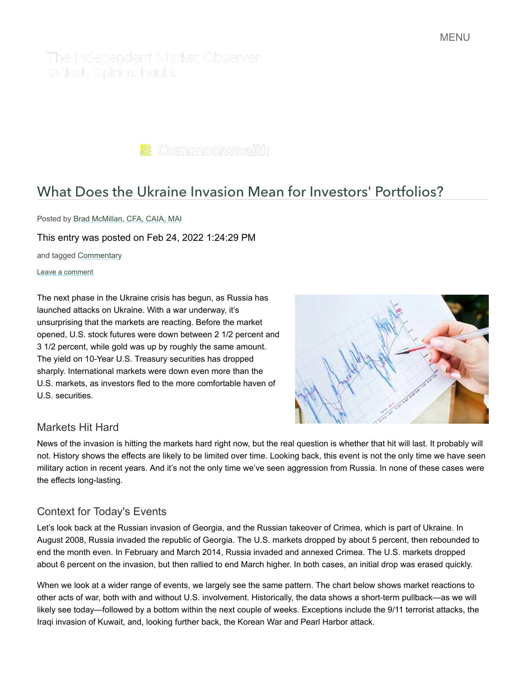The Independent Market Observer Outlook, Opinion, Insight,

 $\blacktriangleright$  Commonwealth

# [What Does the Ukraine Invasion Mean for Investors' Portfolios?](https://blog.commonwealth.com/independent-market-observer/what-does-the-ukraine-invasion-mean-for-your-portfolio)

Posted by [Brad McMillan, CFA, CAIA, MAI](https://blog.commonwealth.com/independent-market-observer/author/brad-mcmillan-cfa-caia-mai)

This entry was posted on Feb 24, 2022 1:24:29 PM

and tagged [Commentary](https://blog.commonwealth.com/independent-market-observer/topic/commentary)

#### Leave a comment

The next phase in the Ukraine crisis has begun, as Russia has launched attacks on Ukraine. With a war underway, it's unsurprising that the markets are reacting. Before the market opened, U.S. stock futures were down between 2 1/2 percent and 3 1/2 percent, while gold was up by roughly the same amount. The yield on 10-Year U.S. Treasury securities has dropped sharply. International markets were down even more than the U.S. markets, as investors fled to the more comfortable haven of U.S. securities.



#### Markets Hit Hard

News of the invasion is hitting the markets hard right now, but the real question is whether that hit will last. It probably will not. History shows the effects are likely to be limited over time. Looking back, this event is not the only time we have seen military action in recent years. And it's not the only time we've seen aggression from Russia. In none of these cases were the effects long-lasting.

#### Context for Today's Events

Let's look back at the Russian invasion of Georgia, and the Russian takeover of Crimea, which is part of Ukraine. In August 2008, Russia invaded the republic of Georgia. The U.S. markets dropped by about 5 percent, then rebounded to end the month even. In February and March 2014, Russia invaded and annexed Crimea. The U.S. markets dropped about 6 percent on the invasion, but then rallied to end March higher. In both cases, an initial drop was erased quickly.

When we look at a wider range of events, we largely see the same pattern. The chart below shows market reactions to other acts of war, both with and without U.S. involvement. Historically, the data shows a short-term pullback—as we will likely see today—followed by a bottom within the next couple of weeks. Exceptions include the 9/11 terrorist attacks, the Iraqi invasion of Kuwait, and, looking further back, the Korean War and Pearl Harbor attack.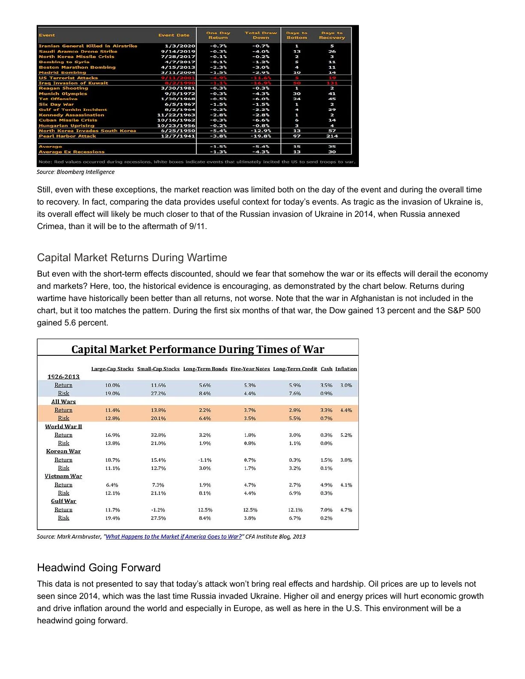| Event                                      | <b>Event Date</b> | <b>One Day</b><br>Return | <b>Total Draw</b><br><b>Down</b> | Days to<br><b>Bottom</b> | Days to<br>Recovery     |
|--------------------------------------------|-------------------|--------------------------|----------------------------------|--------------------------|-------------------------|
| <b>Iranian General Killed in Airstrike</b> | 1/3/2020          | $-0.7%$                  | $-0.7%$                          | п                        | 5                       |
| Saudi Aramco Drone Strike                  | 9/14/2019         | $-0.3%$                  | $-4.0%$                          | 13                       | 26                      |
| North Korea Missile Crisis                 | 7/28/2017         | $-0.1%$                  | $-0.24$                          | ν                        | E.                      |
| <b>Bombing to Syria</b>                    | 4/7/2017          | $-0.1%$                  | $-1.2%$                          | и                        | 11                      |
| <b>Boston Marathon Bombing</b>             | 4/15/2013         | $-2.3%$                  | $-3.0%$                          | $\blacktriangleleft$     | 11                      |
| <b>Madrid Bombing</b>                      | 3/11/2004         | $-1.5%$                  | $-2.9%$                          | 10                       | 14                      |
| <b>US Terrorist Attacks</b>                |                   |                          | $-3.1.6$                         |                          |                         |
| <b>Iraq Invasion of Kuwait</b>             |                   |                          |                                  |                          |                         |
| <b>Reagan Shooting</b>                     | 3/30/1981         | $-0.3%$                  | $-0.3%$                          | Ŧ.                       | $\overline{\mathbf{z}}$ |
| <b>Munich Olympics</b>                     | 9/5/1972          | $-0.3%$                  | $-4.3%$                          | 30                       | 41                      |
| <b>Tet Offensive</b>                       | 1/30/1968         | $-0.5%$                  | $-6.0%$                          | 24                       | 45                      |
| <b>Six Day War</b>                         | 6/5/1967          | $-1.5%$                  | $-1.5%$                          | п                        | N                       |
| <b>Gulf of Tonkin Incident</b>             | 8/2/1964          | $-0.2%$                  | $-2.2%$                          | 4                        | 29                      |
| <b>Kennedy Assassination</b>               | 11/22/1963        | $-2.8%$                  | $-2.8%$                          | п                        | 2                       |
| <b>Cuban Missile Crisis</b>                | 10/16/1962        | $-0.3%$                  | $-6.6%$                          | 6                        | 14                      |
| <b>Hungarian Uprising</b>                  | 10/23/1956        | $-0.2%$                  | $-0.8$                           | Э                        | 4                       |
| North Korea Invades South Korea            | 6/25/1950         | $-5.4%$                  | $-12.9%$                         | 13                       | 57                      |
| <b>Pearl Harbor Attack</b>                 | 12/7/1941         | $-3.8%$                  | $-19.8$                          | 97                       | 214                     |
| Average                                    |                   | $-1.5%$                  | $-5.4%$                          | 15                       | 35                      |
| <b>Average Ex Recessions</b>               |                   | $-1.3%$                  | $-4.3%$                          | 13                       | 30                      |

Source: Bloomberg Intelligence

Still, even with these exceptions, the market reaction was limited both on the day of the event and during the overall time to recovery. In fact, comparing the data provides useful context for today's events. As tragic as the invasion of Ukraine is, its overall effect will likely be much closer to that of the Russian invasion of Ukraine in 2014, when Russia annexed Crimea, than it will be to the aftermath of 9/11.

#### Capital Market Returns During Wartime

But even with the short-term effects discounted, should we fear that somehow the war or its effects will derail the economy and markets? Here, too, the historical evidence is encouraging, as demonstrated by the chart below. Returns during wartime have historically been better than all returns, not worse. Note that the war in Afghanistan is not included in the chart, but it too matches the pattern. During the first six months of that war, the Dow gained 13 percent and the S&P 500 gained 5.6 percent.

|                 |       |         | Large-Cap Stocks Small-Cap Stocks Long-Term Bonds Five-Year Notes Long-Term Credit Cash Inflation |       |       |      |      |
|-----------------|-------|---------|---------------------------------------------------------------------------------------------------|-------|-------|------|------|
| 1926-2013       |       |         |                                                                                                   |       |       |      |      |
| Return          | 10.0% | 11.6%   | 5.6%                                                                                              | 5.3%  | 5.9%  | 3.5% | 3.0% |
| <b>Risk</b>     | 19.0% | 27.2%   | 8.4%                                                                                              | 4.4%  | 7.6%  | 0.9% |      |
| <b>All Wars</b> |       |         |                                                                                                   |       |       |      |      |
| Return          | 11.4% | 13.8%   | 2.2%                                                                                              | 3.7%  | 2.8%  | 3.3% | 4.4% |
| <b>Risk</b>     | 12.8% | 20.1%   | 6.4%                                                                                              | 3.5%  | 5.5%  | 0.7% |      |
| World War II    |       |         |                                                                                                   |       |       |      |      |
| Return          | 16.9% | 32.8%   | 3.2%                                                                                              | 1.8%  | 3.0%  | 0.3% | 5.2% |
| Risk            | 13.8% | 21.0%   | 1.9%                                                                                              | 0.8%  | 1.1%  | 0.0% |      |
| Korean War      |       |         |                                                                                                   |       |       |      |      |
| Return          | 18.7% | 15.4%   | $-1.1%$                                                                                           | 0.7%  | 0.3%  | 1.5% | 3.8% |
| Risk            | 11.1% | 12.7%   | 3.0%                                                                                              | 1.7%  | 3.2%  | 0.1% |      |
| Vietnam War     |       |         |                                                                                                   |       |       |      |      |
| Return          | 6.4%  | 7.3%    | 1.9%                                                                                              | 4.7%  | 2.7%  | 4.9% | 4.1% |
| Risk            | 12.1% | 21.1%   | 8.1%                                                                                              | 4.4%  | 6.9%  | 0.3% |      |
| <b>Gulf War</b> |       |         |                                                                                                   |       |       |      |      |
| Return          | 11.7% | $-1.2%$ | 12.5%                                                                                             | 12.5% | 12.1% | 7.0% | 4.7% |
| <b>Risk</b>     | 19.4% | 27.5%   | 8.4%                                                                                              | 3.8%  | 6.7%  | 0.2% |      |

Source: Mark Armbruster, "What Happens to the Market if America Goes to War?" CFA Institute Blog, 2013

## Headwind Going Forward

This data is not presented to say that today's attack won't bring real effects and hardship. Oil prices are up to levels not seen since 2014, which was the last time Russia invaded Ukraine. Higher oil and energy prices will hurt economic growth and drive inflation around the world and especially in Europe, as well as here in the U.S. This environment will be a headwind going forward.